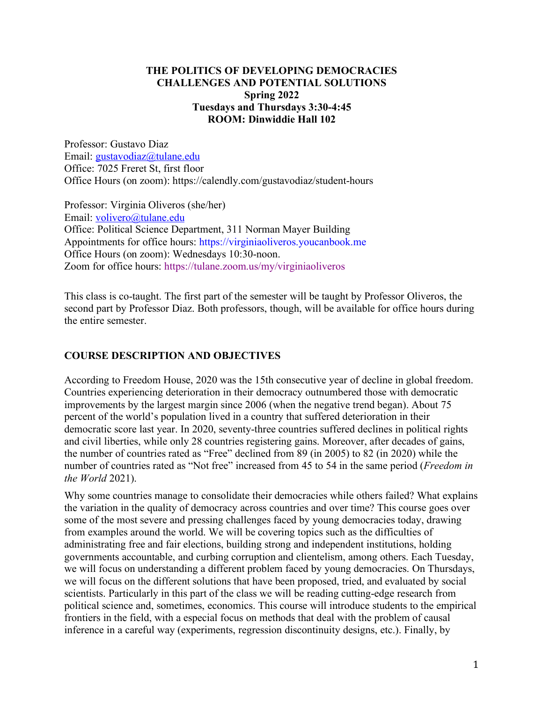#### **THE POLITICS OF DEVELOPING DEMOCRACIES CHALLENGES AND POTENTIAL SOLUTIONS Spring 2022 Tuesdays and Thursdays 3:30-4:45 ROOM: Dinwiddie Hall 102**

Professor: Gustavo Diaz Email: gustavodiaz@tulane.edu Office: 7025 Freret St, first floor Office Hours (on zoom): https://calendly.com/gustavodiaz/student-hours

Professor: Virginia Oliveros (she/her) Email: volivero@tulane.edu Office: Political Science Department, 311 Norman Mayer Building Appointments for office hours: https://virginiaoliveros.youcanbook.me Office Hours (on zoom): Wednesdays 10:30-noon. Zoom for office hours: https://tulane.zoom.us/my/virginiaoliveros

This class is co-taught. The first part of the semester will be taught by Professor Oliveros, the second part by Professor Diaz. Both professors, though, will be available for office hours during the entire semester.

#### **COURSE DESCRIPTION AND OBJECTIVES**

According to Freedom House, 2020 was the 15th consecutive year of decline in global freedom. Countries experiencing deterioration in their democracy outnumbered those with democratic improvements by the largest margin since 2006 (when the negative trend began). About 75 percent of the world's population lived in a country that suffered deterioration in their democratic score last year. In 2020, seventy-three countries suffered declines in political rights and civil liberties, while only 28 countries registering gains. Moreover, after decades of gains, the number of countries rated as "Free" declined from 89 (in 2005) to 82 (in 2020) while the number of countries rated as "Not free" increased from 45 to 54 in the same period (*Freedom in the World* 2021).

Why some countries manage to consolidate their democracies while others failed? What explains the variation in the quality of democracy across countries and over time? This course goes over some of the most severe and pressing challenges faced by young democracies today, drawing from examples around the world. We will be covering topics such as the difficulties of administrating free and fair elections, building strong and independent institutions, holding governments accountable, and curbing corruption and clientelism, among others. Each Tuesday, we will focus on understanding a different problem faced by young democracies. On Thursdays, we will focus on the different solutions that have been proposed, tried, and evaluated by social scientists. Particularly in this part of the class we will be reading cutting-edge research from political science and, sometimes, economics. This course will introduce students to the empirical frontiers in the field, with a especial focus on methods that deal with the problem of causal inference in a careful way (experiments, regression discontinuity designs, etc.). Finally, by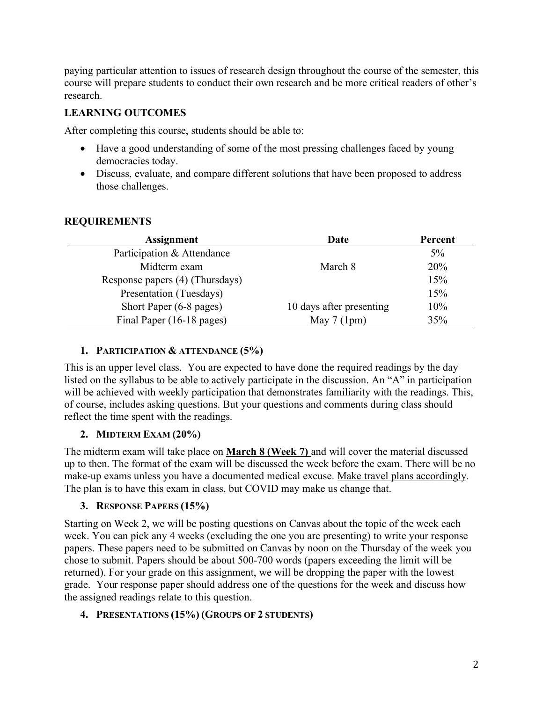paying particular attention to issues of research design throughout the course of the semester, this course will prepare students to conduct their own research and be more critical readers of other's research.

## **LEARNING OUTCOMES**

After completing this course, students should be able to:

- Have a good understanding of some of the most pressing challenges faced by young democracies today.
- Discuss, evaluate, and compare different solutions that have been proposed to address those challenges.

### **REQUIREMENTS**

| <b>Assignment</b>               | Date                     | Percent |
|---------------------------------|--------------------------|---------|
| Participation & Attendance      |                          | $5\%$   |
| Midterm exam                    | March 8                  | 20%     |
| Response papers (4) (Thursdays) |                          | 15%     |
| Presentation (Tuesdays)         |                          | 15%     |
| Short Paper (6-8 pages)         | 10 days after presenting | 10%     |
| Final Paper (16-18 pages)       | May $7(1pm)$             | 35%     |

#### **1. PARTICIPATION & ATTENDANCE (5%)**

This is an upper level class. You are expected to have done the required readings by the day listed on the syllabus to be able to actively participate in the discussion. An "A" in participation will be achieved with weekly participation that demonstrates familiarity with the readings. This, of course, includes asking questions. But your questions and comments during class should reflect the time spent with the readings.

## **2. MIDTERM EXAM (20%)**

The midterm exam will take place on **March 8 (Week 7)** and will cover the material discussed up to then. The format of the exam will be discussed the week before the exam. There will be no make-up exams unless you have a documented medical excuse. Make travel plans accordingly. The plan is to have this exam in class, but COVID may make us change that.

#### **3. RESPONSE PAPERS (15%)**

Starting on Week 2, we will be posting questions on Canvas about the topic of the week each week. You can pick any 4 weeks (excluding the one you are presenting) to write your response papers. These papers need to be submitted on Canvas by noon on the Thursday of the week you chose to submit. Papers should be about 500-700 words (papers exceeding the limit will be returned). For your grade on this assignment, we will be dropping the paper with the lowest grade. Your response paper should address one of the questions for the week and discuss how the assigned readings relate to this question.

#### **4. PRESENTATIONS (15%) (GROUPS OF 2 STUDENTS)**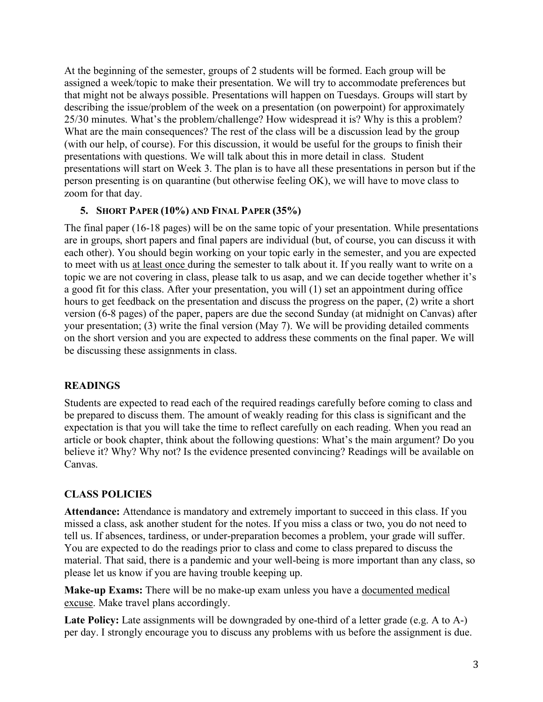At the beginning of the semester, groups of 2 students will be formed. Each group will be assigned a week/topic to make their presentation. We will try to accommodate preferences but that might not be always possible. Presentations will happen on Tuesdays. Groups will start by describing the issue/problem of the week on a presentation (on powerpoint) for approximately 25/30 minutes. What's the problem/challenge? How widespread it is? Why is this a problem? What are the main consequences? The rest of the class will be a discussion lead by the group (with our help, of course). For this discussion, it would be useful for the groups to finish their presentations with questions. We will talk about this in more detail in class. Student presentations will start on Week 3. The plan is to have all these presentations in person but if the person presenting is on quarantine (but otherwise feeling OK), we will have to move class to zoom for that day.

#### **5. SHORT PAPER (10%) AND FINAL PAPER (35%)**

The final paper (16-18 pages) will be on the same topic of your presentation. While presentations are in groups, short papers and final papers are individual (but, of course, you can discuss it with each other). You should begin working on your topic early in the semester, and you are expected to meet with us at least once during the semester to talk about it. If you really want to write on a topic we are not covering in class, please talk to us asap, and we can decide together whether it's a good fit for this class. After your presentation, you will (1) set an appointment during office hours to get feedback on the presentation and discuss the progress on the paper, (2) write a short version (6-8 pages) of the paper, papers are due the second Sunday (at midnight on Canvas) after your presentation; (3) write the final version (May 7). We will be providing detailed comments on the short version and you are expected to address these comments on the final paper. We will be discussing these assignments in class.

#### **READINGS**

Students are expected to read each of the required readings carefully before coming to class and be prepared to discuss them. The amount of weakly reading for this class is significant and the expectation is that you will take the time to reflect carefully on each reading. When you read an article or book chapter, think about the following questions: What's the main argument? Do you believe it? Why? Why not? Is the evidence presented convincing? Readings will be available on Canvas.

#### **CLASS POLICIES**

**Attendance:** Attendance is mandatory and extremely important to succeed in this class. If you missed a class, ask another student for the notes. If you miss a class or two, you do not need to tell us. If absences, tardiness, or under-preparation becomes a problem, your grade will suffer. You are expected to do the readings prior to class and come to class prepared to discuss the material. That said, there is a pandemic and your well-being is more important than any class, so please let us know if you are having trouble keeping up.

**Make-up Exams:** There will be no make-up exam unless you have a documented medical excuse. Make travel plans accordingly.

Late Policy: Late assignments will be downgraded by one-third of a letter grade (e.g. A to A-) per day. I strongly encourage you to discuss any problems with us before the assignment is due.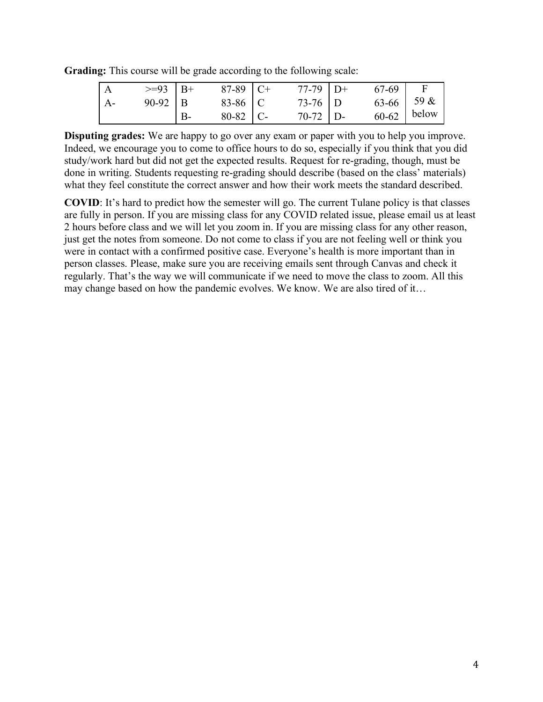**Grading:** This course will be grade according to the following scale:

|                | $>=93$   B+ |    | $87-89$ C+     | $77-79$ D+ | 67-69        |       |
|----------------|-------------|----|----------------|------------|--------------|-------|
| $\mathsf{A}$ - | $90-92$   B |    | 83-86 $\mid$ C | $73-76$ D  | $63-66$ 59 & |       |
|                |             | B- | $80-82$   C-   | $70-72$ D- | $60 - 62$    | below |

**Disputing grades:** We are happy to go over any exam or paper with you to help you improve. Indeed, we encourage you to come to office hours to do so, especially if you think that you did study/work hard but did not get the expected results. Request for re-grading, though, must be done in writing. Students requesting re-grading should describe (based on the class' materials) what they feel constitute the correct answer and how their work meets the standard described.

**COVID**: It's hard to predict how the semester will go. The current Tulane policy is that classes are fully in person. If you are missing class for any COVID related issue, please email us at least 2 hours before class and we will let you zoom in. If you are missing class for any other reason, just get the notes from someone. Do not come to class if you are not feeling well or think you were in contact with a confirmed positive case. Everyone's health is more important than in person classes. Please, make sure you are receiving emails sent through Canvas and check it regularly. That's the way we will communicate if we need to move the class to zoom. All this may change based on how the pandemic evolves. We know. We are also tired of it…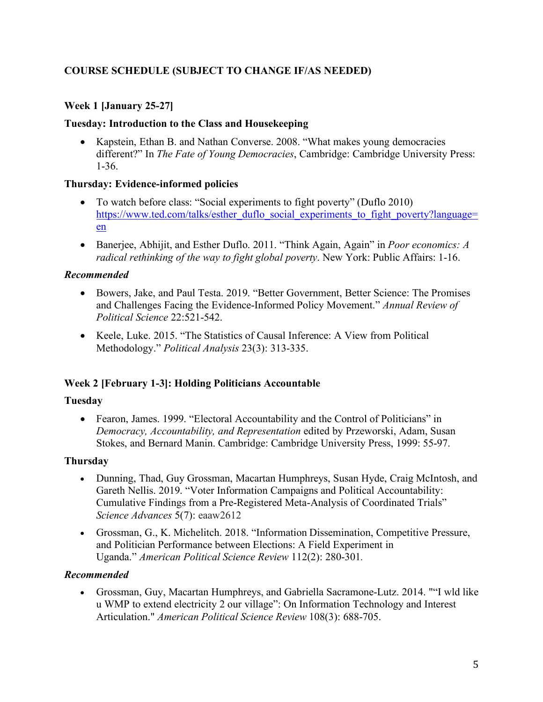# **COURSE SCHEDULE (SUBJECT TO CHANGE IF/AS NEEDED)**

# **Week 1 [January 25-27]**

## **Tuesday: Introduction to the Class and Housekeeping**

• Kapstein, Ethan B. and Nathan Converse. 2008. "What makes young democracies different?" In *The Fate of Young Democracies*, Cambridge: Cambridge University Press: 1-36.

## **Thursday: Evidence-informed policies**

- To watch before class: "Social experiments to fight poverty" (Duflo 2010) https://www.ted.com/talks/esther\_duflo\_social\_experiments\_to\_fight\_poverty?language= en
- Banerjee, Abhijit, and Esther Duflo. 2011. "Think Again, Again" in *Poor economics: A radical rethinking of the way to fight global poverty*. New York: Public Affairs: 1-16.

## *Recommended*

- Bowers, Jake, and Paul Testa. 2019. "Better Government, Better Science: The Promises and Challenges Facing the Evidence-Informed Policy Movement." *Annual Review of Political Science* 22:521-542.
- Keele, Luke. 2015. "The Statistics of Causal Inference: A View from Political Methodology." *Political Analysis* 23(3): 313-335.

# **Week 2 [February 1-3]: Holding Politicians Accountable**

## **Tuesday**

• Fearon, James. 1999. "Electoral Accountability and the Control of Politicians" in *Democracy, Accountability, and Representation* edited by Przeworski, Adam, Susan Stokes, and Bernard Manin. Cambridge: Cambridge University Press, 1999: 55-97.

# **Thursday**

- Dunning, Thad, Guy Grossman, Macartan Humphreys, Susan Hyde, Craig McIntosh, and Gareth Nellis. 2019. "Voter Information Campaigns and Political Accountability: Cumulative Findings from a Pre-Registered Meta-Analysis of Coordinated Trials" *Science Advances* 5(7): eaaw2612
- Grossman, G., K. Michelitch. 2018. "Information Dissemination, Competitive Pressure, and Politician Performance between Elections: A Field Experiment in Uganda." *American Political Science Review* 112(2): 280-301*.*

## *Recommended*

• Grossman, Guy, Macartan Humphreys, and Gabriella Sacramone-Lutz. 2014. ""I wld like u WMP to extend electricity 2 our village": On Information Technology and Interest Articulation." *American Political Science Review* 108(3): 688-705.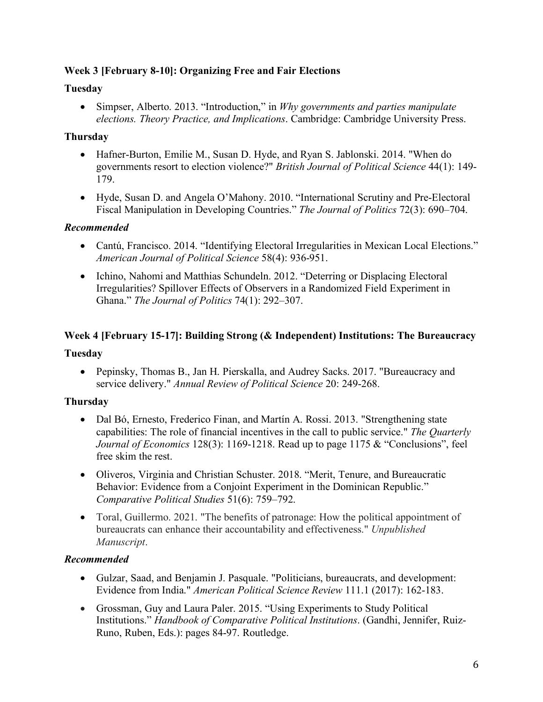### **Week 3 [February 8-10]: Organizing Free and Fair Elections**

### **Tuesday**

• Simpser, Alberto. 2013. "Introduction," in *Why governments and parties manipulate elections. Theory Practice, and Implications*. Cambridge: Cambridge University Press.

## **Thursday**

- Hafner-Burton, Emilie M., Susan D. Hyde, and Ryan S. Jablonski. 2014. "When do governments resort to election violence?" *British Journal of Political Science* 44(1): 149- 179.
- Hyde, Susan D. and Angela O'Mahony. 2010. "International Scrutiny and Pre-Electoral Fiscal Manipulation in Developing Countries." *The Journal of Politics* 72(3): 690–704.

## *Recommended*

- Cantú, Francisco. 2014. "Identifying Electoral Irregularities in Mexican Local Elections." *American Journal of Political Science* 58(4): 936-951.
- Ichino, Nahomi and Matthias Schundeln. 2012. "Deterring or Displacing Electoral Irregularities? Spillover Effects of Observers in a Randomized Field Experiment in Ghana." *The Journal of Politics* 74(1): 292–307.

# **Week 4 [February 15-17]: Building Strong (& Independent) Institutions: The Bureaucracy**

#### **Tuesday**

• Pepinsky, Thomas B., Jan H. Pierskalla, and Audrey Sacks. 2017. "Bureaucracy and service delivery." *Annual Review of Political Science* 20: 249-268.

## **Thursday**

- Dal Bó, Ernesto, Frederico Finan, and Martín A. Rossi. 2013. "Strengthening state capabilities: The role of financial incentives in the call to public service." *The Quarterly Journal of Economics* 128(3): 1169-1218. Read up to page 1175 & "Conclusions", feel free skim the rest.
- Oliveros, Virginia and Christian Schuster. 2018. "Merit, Tenure, and Bureaucratic Behavior: Evidence from a Conjoint Experiment in the Dominican Republic." *Comparative Political Studies* 51(6): 759–792.
- Toral, Guillermo. 2021. "The benefits of patronage: How the political appointment of bureaucrats can enhance their accountability and effectiveness." *Unpublished Manuscript*.

## *Recommended*

- Gulzar, Saad, and Benjamin J. Pasquale. "Politicians, bureaucrats, and development: Evidence from India." *American Political Science Review* 111.1 (2017): 162-183.
- Grossman, Guy and Laura Paler. 2015. "Using Experiments to Study Political Institutions." *Handbook of Comparative Political Institutions*. (Gandhi, Jennifer, Ruiz-Runo, Ruben, Eds.): pages 84-97. Routledge.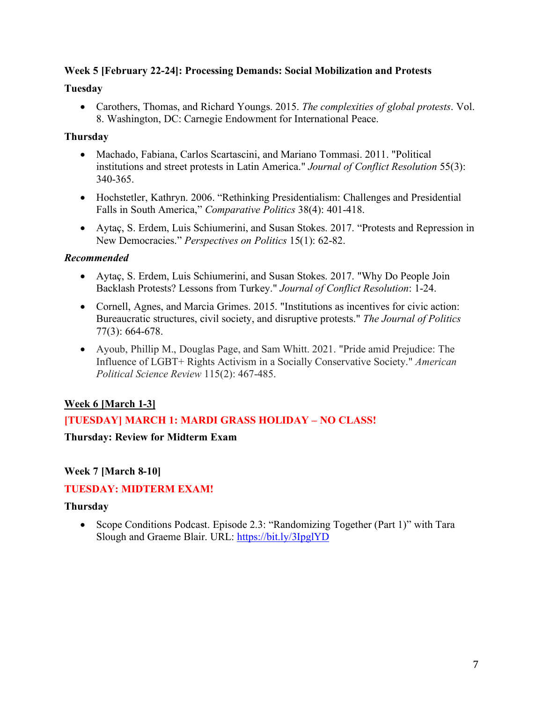### **Week 5 [February 22-24]: Processing Demands: Social Mobilization and Protests**

#### **Tuesday**

• Carothers, Thomas, and Richard Youngs. 2015. *The complexities of global protests*. Vol. 8. Washington, DC: Carnegie Endowment for International Peace.

### **Thursday**

- Machado, Fabiana, Carlos Scartascini, and Mariano Tommasi. 2011. "Political institutions and street protests in Latin America." *Journal of Conflict Resolution* 55(3): 340-365.
- Hochstetler, Kathryn. 2006. "Rethinking Presidentialism: Challenges and Presidential Falls in South America," *Comparative Politics* 38(4): 401-418.
- Aytaç, S. Erdem, Luis Schiumerini, and Susan Stokes. 2017. "Protests and Repression in New Democracies." *Perspectives on Politics* 15(1): 62-82.

## *Recommended*

- Aytaç, S. Erdem, Luis Schiumerini, and Susan Stokes. 2017. "Why Do People Join Backlash Protests? Lessons from Turkey." *Journal of Conflict Resolution*: 1-24.
- Cornell, Agnes, and Marcia Grimes. 2015. "Institutions as incentives for civic action: Bureaucratic structures, civil society, and disruptive protests." *The Journal of Politics* 77(3): 664-678.
- Ayoub, Phillip M., Douglas Page, and Sam Whitt. 2021. "Pride amid Prejudice: The Influence of LGBT+ Rights Activism in a Socially Conservative Society." *American Political Science Review* 115(2): 467-485.

# **Week 6 [March 1-3]**

# **[TUESDAY] MARCH 1: MARDI GRASS HOLIDAY – NO CLASS!**

## **Thursday: Review for Midterm Exam**

# **Week 7 [March 8-10]**

# **TUESDAY: MIDTERM EXAM!**

## **Thursday**

• Scope Conditions Podcast. Episode 2.3: "Randomizing Together (Part 1)" with Tara Slough and Graeme Blair. URL: https://bit.ly/3IpglYD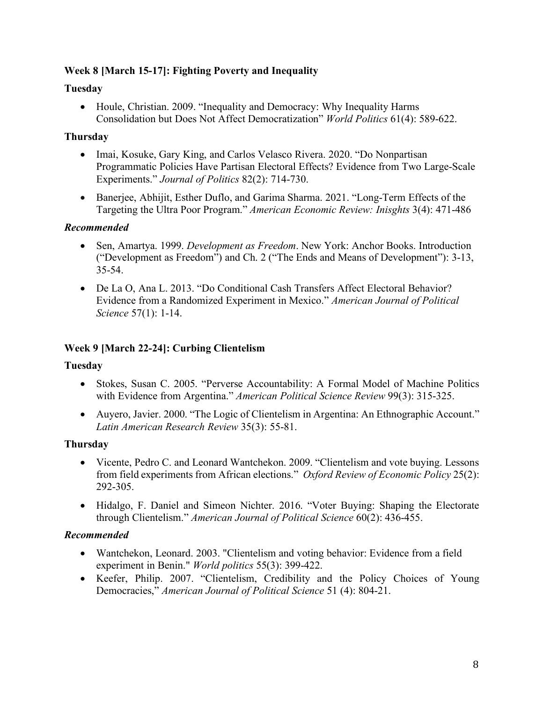## **Week 8 [March 15-17]: Fighting Poverty and Inequality**

#### **Tuesday**

• Houle, Christian. 2009. "Inequality and Democracy: Why Inequality Harms Consolidation but Does Not Affect Democratization" *World Politics* 61(4): 589-622.

### **Thursday**

- Imai, Kosuke, Gary King, and Carlos Velasco Rivera. 2020. "Do Nonpartisan Programmatic Policies Have Partisan Electoral Effects? Evidence from Two Large-Scale Experiments." *Journal of Politics* 82(2): 714-730.
- Banerjee, Abhijit, Esther Duflo, and Garima Sharma. 2021. "Long-Term Effects of the Targeting the Ultra Poor Program." *American Economic Review: Inisghts* 3(4): 471-486

### *Recommended*

- Sen, Amartya. 1999. *Development as Freedom*. New York: Anchor Books. Introduction ("Development as Freedom") and Ch. 2 ("The Ends and Means of Development"): 3-13, 35-54.
- De La O, Ana L. 2013. "Do Conditional Cash Transfers Affect Electoral Behavior? Evidence from a Randomized Experiment in Mexico." *American Journal of Political Science* 57(1): 1-14.

#### **Week 9 [March 22-24]: Curbing Clientelism**

#### **Tuesday**

- Stokes, Susan C. 2005. "Perverse Accountability: A Formal Model of Machine Politics with Evidence from Argentina." *American Political Science Review* 99(3): 315-325.
- Auyero, Javier. 2000. "The Logic of Clientelism in Argentina: An Ethnographic Account." *Latin American Research Review* 35(3): 55-81.

## **Thursday**

- Vicente, Pedro C. and Leonard Wantchekon. 2009. "Clientelism and vote buying. Lessons from field experiments from African elections." *Oxford Review of Economic Policy* 25(2): 292-305.
- Hidalgo, F. Daniel and Simeon Nichter. 2016. "Voter Buying: Shaping the Electorate through Clientelism." *American Journal of Political Science* 60(2): 436-455.

## *Recommended*

- Wantchekon, Leonard. 2003. "Clientelism and voting behavior: Evidence from a field experiment in Benin." *World politics* 55(3): 399-422.
- Keefer, Philip. 2007. "Clientelism, Credibility and the Policy Choices of Young Democracies," *American Journal of Political Science* 51 (4): 804-21.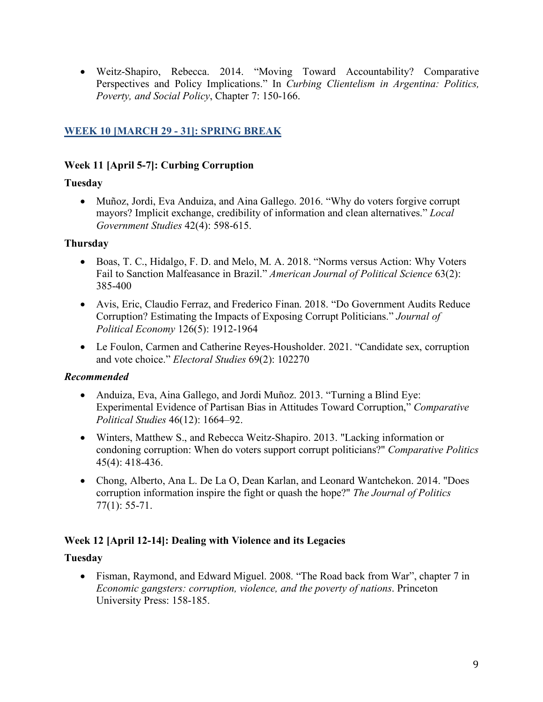• Weitz-Shapiro, Rebecca. 2014. "Moving Toward Accountability? Comparative Perspectives and Policy Implications." In *Curbing Clientelism in Argentina: Politics, Poverty, and Social Policy*, Chapter 7: 150-166.

## **WEEK 10 [MARCH 29 - 31]: SPRING BREAK**

#### **Week 11 [April 5-7]: Curbing Corruption**

### **Tuesday**

• Muñoz, Jordi, Eva Anduiza, and Aina Gallego. 2016. "Why do voters forgive corrupt mayors? Implicit exchange, credibility of information and clean alternatives." *Local Government Studies* 42(4): 598-615.

### **Thursday**

- Boas, T. C., Hidalgo, F. D. and Melo, M. A. 2018. "Norms versus Action: Why Voters Fail to Sanction Malfeasance in Brazil." *American Journal of Political Science* 63(2): 385-400
- Avis, Eric, Claudio Ferraz, and Frederico Finan. 2018. "Do Government Audits Reduce Corruption? Estimating the Impacts of Exposing Corrupt Politicians." *Journal of Political Economy* 126(5): 1912-1964
- Le Foulon, Carmen and Catherine Reyes-Housholder. 2021. "Candidate sex, corruption and vote choice." *Electoral Studies* 69(2): 102270

## *Recommended*

- Anduiza, Eva, Aina Gallego, and Jordi Muñoz. 2013. "Turning a Blind Eye: Experimental Evidence of Partisan Bias in Attitudes Toward Corruption," *Comparative Political Studies* 46(12): 1664–92.
- Winters, Matthew S., and Rebecca Weitz-Shapiro. 2013. "Lacking information or condoning corruption: When do voters support corrupt politicians?" *Comparative Politics* 45(4): 418-436.
- Chong, Alberto, Ana L. De La O, Dean Karlan, and Leonard Wantchekon. 2014. "Does corruption information inspire the fight or quash the hope?" *The Journal of Politics* 77(1): 55-71.

## **Week 12 [April 12-14]: Dealing with Violence and its Legacies**

## **Tuesday**

• Fisman, Raymond, and Edward Miguel. 2008. "The Road back from War", chapter 7 in *Economic gangsters: corruption, violence, and the poverty of nations*. Princeton University Press: 158-185.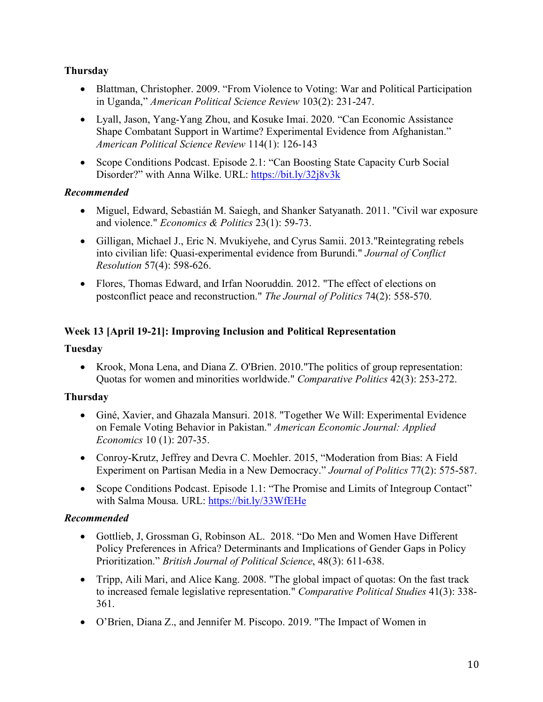## **Thursday**

- Blattman, Christopher. 2009. "From Violence to Voting: War and Political Participation in Uganda," *American Political Science Review* 103(2): 231-247.
- Lyall, Jason, Yang-Yang Zhou, and Kosuke Imai. 2020. "Can Economic Assistance" Shape Combatant Support in Wartime? Experimental Evidence from Afghanistan." *American Political Science Review* 114(1): 126-143
- Scope Conditions Podcast. Episode 2.1: "Can Boosting State Capacity Curb Social Disorder?" with Anna Wilke. URL: https://bit.ly/32j8v3k

#### *Recommended*

- Miguel, Edward, Sebastián M. Saiegh, and Shanker Satyanath. 2011. "Civil war exposure and violence." *Economics & Politics* 23(1): 59-73.
- Gilligan, Michael J., Eric N. Myukiyehe, and Cyrus Samii. 2013. "Reintegrating rebels into civilian life: Quasi-experimental evidence from Burundi." *Journal of Conflict Resolution* 57(4): 598-626.
- Flores, Thomas Edward, and Irfan Nooruddin. 2012. "The effect of elections on postconflict peace and reconstruction." *The Journal of Politics* 74(2): 558-570.

## **Week 13 [April 19-21]: Improving Inclusion and Political Representation**

#### **Tuesday**

• Krook, Mona Lena, and Diana Z. O'Brien. 2010."The politics of group representation: Quotas for women and minorities worldwide." *Comparative Politics* 42(3): 253-272.

#### **Thursday**

- Giné, Xavier, and Ghazala Mansuri. 2018. "Together We Will: Experimental Evidence on Female Voting Behavior in Pakistan." *American Economic Journal: Applied Economics* 10 (1): 207-35.
- Conroy-Krutz, Jeffrey and Devra C. Moehler. 2015, "Moderation from Bias: A Field Experiment on Partisan Media in a New Democracy." *Journal of Politics* 77(2): 575-587.
- Scope Conditions Podcast. Episode 1.1: "The Promise and Limits of Integroup Contact" with Salma Mousa. URL: https://bit.ly/33WfEHe

#### *Recommended*

- Gottlieb, J, Grossman G, Robinson AL. 2018. "Do Men and Women Have Different Policy Preferences in Africa? Determinants and Implications of Gender Gaps in Policy Prioritization." *British Journal of Political Science*, 48(3): 611-638.
- Tripp, Aili Mari, and Alice Kang. 2008. "The global impact of quotas: On the fast track to increased female legislative representation." *Comparative Political Studies* 41(3): 338- 361.
- O'Brien, Diana Z., and Jennifer M. Piscopo. 2019. "The Impact of Women in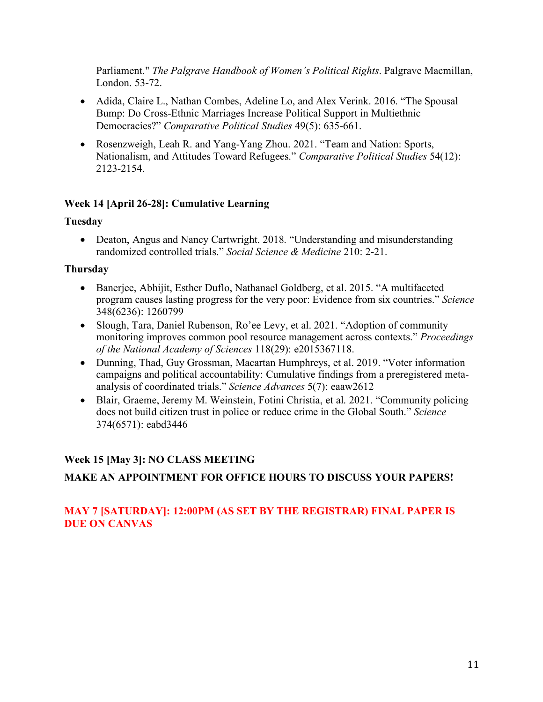Parliament." *The Palgrave Handbook of Women's Political Rights*. Palgrave Macmillan, London. 53-72.

- Adida, Claire L., Nathan Combes, Adeline Lo, and Alex Verink. 2016. "The Spousal Bump: Do Cross-Ethnic Marriages Increase Political Support in Multiethnic Democracies?" *Comparative Political Studies* 49(5): 635-661.
- Rosenzweigh, Leah R. and Yang-Yang Zhou. 2021. "Team and Nation: Sports, Nationalism, and Attitudes Toward Refugees." *Comparative Political Studies* 54(12): 2123-2154.

### **Week 14 [April 26-28]: Cumulative Learning**

#### **Tuesday**

• Deaton, Angus and Nancy Cartwright. 2018. "Understanding and misunderstanding randomized controlled trials." *Social Science & Medicine* 210: 2-21.

#### **Thursday**

- Banerjee, Abhijit, Esther Duflo, Nathanael Goldberg, et al. 2015. "A multifaceted program causes lasting progress for the very poor: Evidence from six countries." *Science*  348(6236): 1260799
- Slough, Tara, Daniel Rubenson, Ro'ee Levy, et al. 2021. "Adoption of community monitoring improves common pool resource management across contexts." *Proceedings of the National Academy of Sciences* 118(29): e2015367118.
- Dunning, Thad, Guy Grossman, Macartan Humphreys, et al. 2019. "Voter information campaigns and political accountability: Cumulative findings from a preregistered metaanalysis of coordinated trials." *Science Advances* 5(7): eaaw2612
- Blair, Graeme, Jeremy M. Weinstein, Fotini Christia, et al. 2021. "Community policing does not build citizen trust in police or reduce crime in the Global South." *Science*  374(6571): eabd3446

#### **Week 15 [May 3]: NO CLASS MEETING**

## **MAKE AN APPOINTMENT FOR OFFICE HOURS TO DISCUSS YOUR PAPERS!**

### **MAY 7 [SATURDAY]: 12:00PM (AS SET BY THE REGISTRAR) FINAL PAPER IS DUE ON CANVAS**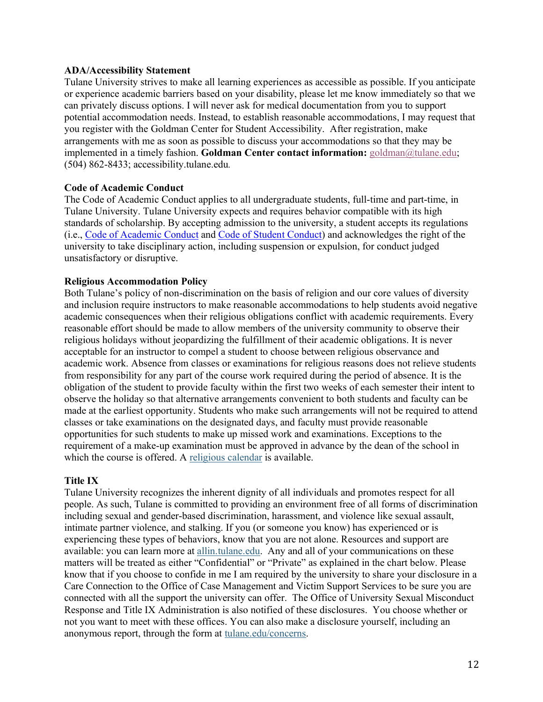#### **ADA/Accessibility Statement**

Tulane University strives to make all learning experiences as accessible as possible. If you anticipate or experience academic barriers based on your disability, please let me know immediately so that we can privately discuss options. I will never ask for medical documentation from you to support potential accommodation needs. Instead, to establish reasonable accommodations, I may request that you register with the Goldman Center for Student Accessibility. After registration, make arrangements with me as soon as possible to discuss your accommodations so that they may be implemented in a timely fashion. **Goldman Center contact information:** goldman@tulane.edu; (504) 862-8433; accessibility.tulane.edu*.*

#### **Code of Academic Conduct**

The Code of Academic Conduct applies to all undergraduate students, full-time and part-time, in Tulane University. Tulane University expects and requires behavior compatible with its high standards of scholarship. By accepting admission to the university, a student accepts its regulations (i.e., Code of Academic Conduct and Code of Student Conduct) and acknowledges the right of the university to take disciplinary action, including suspension or expulsion, for conduct judged unsatisfactory or disruptive.

#### **Religious Accommodation Policy**

Both Tulane's policy of non-discrimination on the basis of religion and our core values of diversity and inclusion require instructors to make reasonable accommodations to help students avoid negative academic consequences when their religious obligations conflict with academic requirements. Every reasonable effort should be made to allow members of the university community to observe their religious holidays without jeopardizing the fulfillment of their academic obligations. It is never acceptable for an instructor to compel a student to choose between religious observance and academic work. Absence from classes or examinations for religious reasons does not relieve students from responsibility for any part of the course work required during the period of absence. It is the obligation of the student to provide faculty within the first two weeks of each semester their intent to observe the holiday so that alternative arrangements convenient to both students and faculty can be made at the earliest opportunity. Students who make such arrangements will not be required to attend classes or take examinations on the designated days, and faculty must provide reasonable opportunities for such students to make up missed work and examinations. Exceptions to the requirement of a make-up examination must be approved in advance by the dean of the school in which the course is offered. A religious calendar is available.

#### **Title IX**

Tulane University recognizes the inherent dignity of all individuals and promotes respect for all people. As such, Tulane is committed to providing an environment free of all forms of discrimination including sexual and gender-based discrimination, harassment, and violence like sexual assault, intimate partner violence, and stalking. If you (or someone you know) has experienced or is experiencing these types of behaviors, know that you are not alone. Resources and support are available: you can learn more at allin.tulane.edu. Any and all of your communications on these matters will be treated as either "Confidential" or "Private" as explained in the chart below. Please know that if you choose to confide in me I am required by the university to share your disclosure in a Care Connection to the Office of Case Management and Victim Support Services to be sure you are connected with all the support the university can offer. The Office of University Sexual Misconduct Response and Title IX Administration is also notified of these disclosures. You choose whether or not you want to meet with these offices. You can also make a disclosure yourself, including an anonymous report, through the form at tulane.edu/concerns.